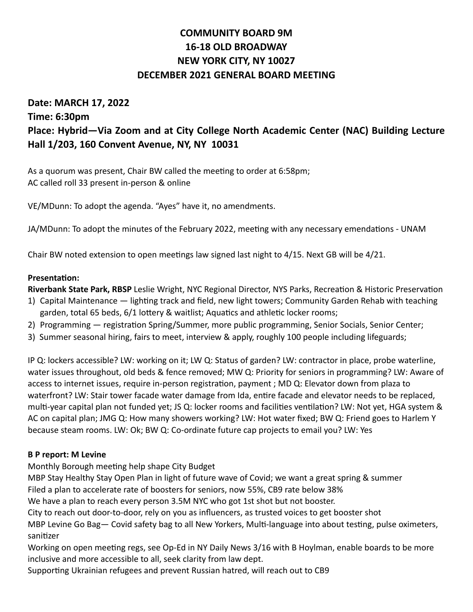# **COMMUNITY BOARD 9M 16-18 OLD BROADWAY NEW YORK CITY, NY 10027 DECEMBER 2021 GENERAL BOARD MEETING**

# **Date: MARCH 17, 2022 Time: 6:30pm Place: Hybrid—Via Zoom and at City College North Academic Center (NAC) Building Lecture Hall 1/203, 160 Convent Avenue, NY, NY 10031**

As a quorum was present, Chair BW called the meeting to order at 6:58pm; AC called roll 33 present in-person & online

VE/MDunn: To adopt the agenda. "Ayes" have it, no amendments.

JA/MDunn: To adopt the minutes of the February 2022, meeting with any necessary emendations - UNAM

Chair BW noted extension to open meetings law signed last night to 4/15. Next GB will be 4/21.

## **Presentation:**

**Riverbank State Park, RBSP** Leslie Wright, NYC Regional Director, NYS Parks, Recreation & Historic Preservation

- 1) Capital Maintenance lighting track and field, new light towers; Community Garden Rehab with teaching garden, total 65 beds, 6/1 lottery & waitlist; Aquatics and athletic locker rooms;
- 2) Programming registration Spring/Summer, more public programming, Senior Socials, Senior Center;
- 3) Summer seasonal hiring, fairs to meet, interview & apply, roughly 100 people including lifeguards;

IP Q: lockers accessible? LW: working on it; LW Q: Status of garden? LW: contractor in place, probe waterline, water issues throughout, old beds & fence removed; MW Q: Priority for seniors in programming? LW: Aware of access to internet issues, require in-person registration, payment ; MD Q: Elevator down from plaza to waterfront? LW: Stair tower facade water damage from Ida, entire facade and elevator needs to be replaced, multi-year capital plan not funded yet; JS Q: locker rooms and facilities ventilation? LW: Not yet, HGA system & AC on capital plan; JMG Q: How many showers working? LW: Hot water fixed; BW Q: Friend goes to Harlem Y because steam rooms. LW: Ok; BW Q: Co-ordinate future cap projects to email you? LW: Yes

## **B P report: M Levine**

Monthly Borough meeting help shape City Budget

MBP Stay Healthy Stay Open Plan in light of future wave of Covid; we want a great spring & summer Filed a plan to accelerate rate of boosters for seniors, now 55%, CB9 rate below 38%

We have a plan to reach every person 3.5M NYC who got 1st shot but not booster.

City to reach out door-to-door, rely on you as influencers, as trusted voices to get booster shot

MBP Levine Go Bag— Covid safety bag to all New Yorkers, Multi-language into about testing, pulse oximeters, sanitizer

Working on open meeting regs, see Op-Ed in NY Daily News 3/16 with B Hoylman, enable boards to be more inclusive and more accessible to all, seek clarity from law dept.

Supporting Ukrainian refugees and prevent Russian hatred, will reach out to CB9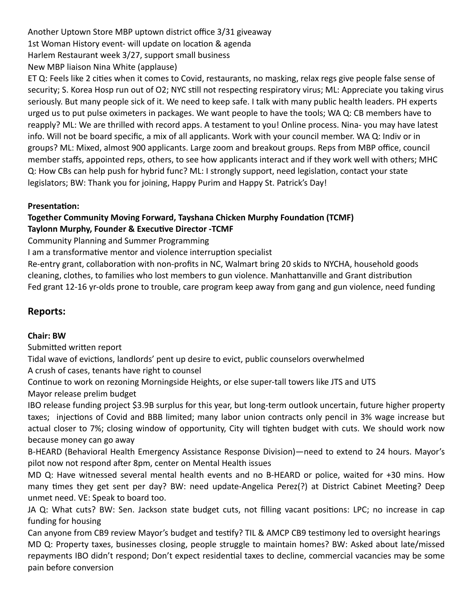Another Uptown Store MBP uptown district office 3/31 giveaway 1st Woman History event- will update on location & agenda Harlem Restaurant week 3/27, support small business New MBP liaison Nina White (applause)

ET Q: Feels like 2 cities when it comes to Covid, restaurants, no masking, relax regs give people false sense of security; S. Korea Hosp run out of O2; NYC still not respecting respiratory virus; ML: Appreciate you taking virus seriously. But many people sick of it. We need to keep safe. I talk with many public health leaders. PH experts urged us to put pulse oximeters in packages. We want people to have the tools; WA Q: CB members have to reapply? ML: We are thrilled with record apps. A testament to you! Online process. Nina- you may have latest info. Will not be board specific, a mix of all applicants. Work with your council member. WA Q: Indiv or in groups? ML: Mixed, almost 900 applicants. Large zoom and breakout groups. Reps from MBP office, council member staffs, appointed reps, others, to see how applicants interact and if they work well with others; MHC Q: How CBs can help push for hybrid func? ML: I strongly support, need legislation, contact your state legislators; BW: Thank you for joining, Happy Purim and Happy St. Patrick's Day!

## **Presentation:**

## **Together Community Moving Forward, Tayshana Chicken Murphy Foundation (TCMF) Taylonn Murphy, Founder & Executive Director -TCMF**

Community Planning and Summer Programming

I am a transformative mentor and violence interruption specialist

Re-entry grant, collaboration with non-profits in NC, Walmart bring 20 skids to NYCHA, household goods cleaning, clothes, to families who lost members to gun violence. Manhattanville and Grant distribution Fed grant 12-16 yr-olds prone to trouble, care program keep away from gang and gun violence, need funding

## **Reports:**

## **Chair: BW**

Submitted written report

Tidal wave of evictions, landlords' pent up desire to evict, public counselors overwhelmed

A crush of cases, tenants have right to counsel

Continue to work on rezoning Morningside Heights, or else super-tall towers like JTS and UTS Mayor release prelim budget

IBO release funding project \$3.9B surplus for this year, but long-term outlook uncertain, future higher property taxes; injections of Covid and BBB limited; many labor union contracts only pencil in 3% wage increase but actual closer to 7%; closing window of opportunity, City will tighten budget with cuts. We should work now because money can go away

B-HEARD (Behavioral Health Emergency Assistance Response Division)—need to extend to 24 hours. Mayor's pilot now not respond after 8pm, center on Mental Health issues

MD Q: Have witnessed several mental health events and no B-HEARD or police, waited for +30 mins. How many times they get sent per day? BW: need update-Angelica Perez(?) at District Cabinet Meeting? Deep unmet need. VE: Speak to board too.

JA Q: What cuts? BW: Sen. Jackson state budget cuts, not filling vacant positions: LPC; no increase in cap funding for housing

Can anyone from CB9 review Mayor's budget and testify? TIL & AMCP CB9 testimony led to oversight hearings MD Q: Property taxes, businesses closing, people struggle to maintain homes? BW: Asked about late/missed repayments IBO didn't respond; Don't expect residential taxes to decline, commercial vacancies may be some pain before conversion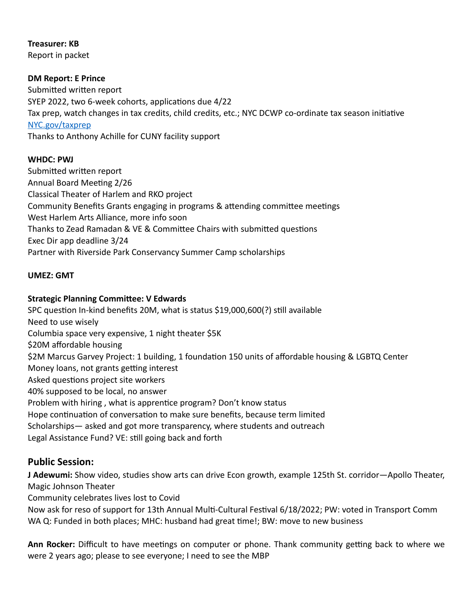**Treasurer: KB** Report in packet

## **DM Report: E Prince**

Submitted written report SYEP 2022, two 6-week cohorts, applications due 4/22 Tax prep, watch changes in tax credits, child credits, etc.; NYC DCWP co-ordinate tax season initiative [NYC.gov/taxprep](http://NYC.gov/taxprep) Thanks to Anthony Achille for CUNY facility support

## **WHDC: PWJ**

Submitted written report Annual Board Meeting 2/26 Classical Theater of Harlem and RKO project Community Benefits Grants engaging in programs & attending committee meetings West Harlem Arts Alliance, more info soon Thanks to Zead Ramadan & VE & Committee Chairs with submitted questions Exec Dir app deadline 3/24 Partner with Riverside Park Conservancy Summer Camp scholarships

## **UMEZ: GMT**

## **Strategic Planning Committee: V Edwards**

SPC question In-kind benefits 20M, what is status \$19,000,600(?) still available Need to use wisely Columbia space very expensive, 1 night theater \$5K \$20M affordable housing \$2M Marcus Garvey Project: 1 building, 1 foundation 150 units of affordable housing & LGBTQ Center Money loans, not grants getting interest Asked questions project site workers 40% supposed to be local, no answer Problem with hiring , what is apprentice program? Don't know status Hope continuation of conversation to make sure benefits, because term limited Scholarships— asked and got more transparency, where students and outreach Legal Assistance Fund? VE: still going back and forth

## **Public Session:**

**J Adewumi:** Show video, studies show arts can drive Econ growth, example 125th St. corridor—Apollo Theater, Magic Johnson Theater

Community celebrates lives lost to Covid

Now ask for reso of support for 13th Annual Multi-Cultural Festival 6/18/2022; PW: voted in Transport Comm WA Q: Funded in both places; MHC: husband had great time!; BW: move to new business

**Ann Rocker:** Difficult to have meetings on computer or phone. Thank community getting back to where we were 2 years ago; please to see everyone; I need to see the MBP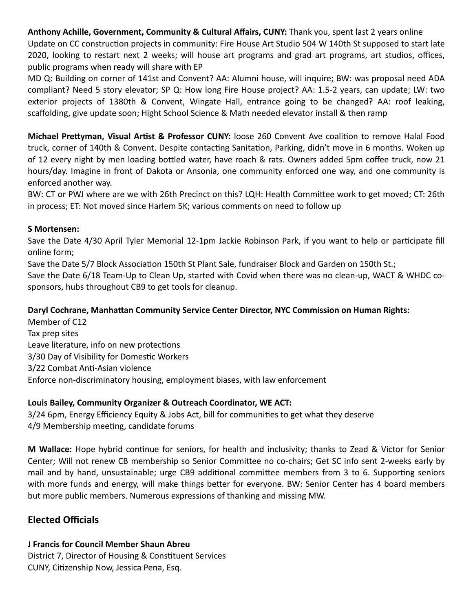**Anthony Achille, Government, Community & Cultural Affairs, CUNY:** Thank you, spent last 2 years online Update on CC construction projects in community: Fire House Art Studio 504 W 140th St supposed to start late 2020, looking to restart next 2 weeks; will house art programs and grad art programs, art studios, offices, public programs when ready will share with EP

MD Q: Building on corner of 141st and Convent? AA: Alumni house, will inquire; BW: was proposal need ADA compliant? Need 5 story elevator; SP Q: How long Fire House project? AA: 1.5-2 years, can update; LW: two exterior projects of 1380th & Convent, Wingate Hall, entrance going to be changed? AA: roof leaking, scaffolding, give update soon; Hight School Science & Math needed elevator install & then ramp

**Michael Prettyman, Visual Artist & Professor CUNY:** loose 260 Convent Ave coalition to remove Halal Food truck, corner of 140th & Convent. Despite contacting Sanitation, Parking, didn't move in 6 months. Woken up of 12 every night by men loading bottled water, have roach & rats. Owners added 5pm coffee truck, now 21 hours/day. Imagine in front of Dakota or Ansonia, one community enforced one way, and one community is enforced another way.

BW: CT or PWJ where are we with 26th Precinct on this? LQH: Health Committee work to get moved; CT: 26th in process; ET: Not moved since Harlem 5K; various comments on need to follow up

## **S Mortensen:**

Save the Date 4/30 April Tyler Memorial 12-1pm Jackie Robinson Park, if you want to help or participate fill online form;

Save the Date 5/7 Block Association 150th St Plant Sale, fundraiser Block and Garden on 150th St.; Save the Date 6/18 Team-Up to Clean Up, started with Covid when there was no clean-up, WACT & WHDC co-

sponsors, hubs throughout CB9 to get tools for cleanup.

#### **Daryl Cochrane, Manhattan Community Service Center Director, NYC Commission on Human Rights:**

Member of C12 Tax prep sites Leave literature, info on new protections 3/30 Day of Visibility for Domestic Workers 3/22 Combat Anti-Asian violence Enforce non-discriminatory housing, employment biases, with law enforcement

## **Louis Bailey, Community Organizer & Outreach Coordinator, WE ACT:**

3/24 6pm, Energy Efficiency Equity & Jobs Act, bill for communities to get what they deserve 4/9 Membership meeting, candidate forums

**M Wallace:** Hope hybrid continue for seniors, for health and inclusivity; thanks to Zead & Victor for Senior Center; Will not renew CB membership so Senior Committee no co-chairs; Get SC info sent 2-weeks early by mail and by hand, unsustainable; urge CB9 additional committee members from 3 to 6. Supporting seniors with more funds and energy, will make things better for everyone. BW: Senior Center has 4 board members but more public members. Numerous expressions of thanking and missing MW.

## **Elected Officials**

## **J Francis for Council Member Shaun Abreu**

District 7, Director of Housing & Constituent Services CUNY, Citizenship Now, Jessica Pena, Esq.